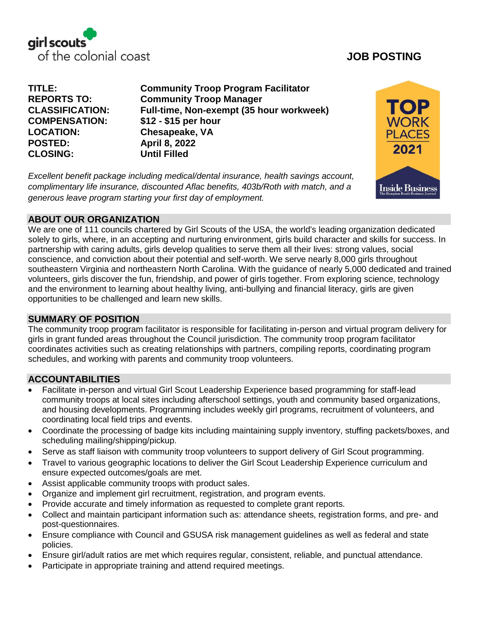

**COMPENSATION: \$12 - \$15 per hour LOCATION: Chesapeake, VA POSTED: April 8, 2022 CLOSING: Until Filled**

**TITLE: Community Troop Program Facilitator REPORTS TO: Community Troop Manager CLASSIFICATION: Full-time, Non-exempt (35 hour workweek)**

*Excellent benefit package including medical/dental insurance, health savings account, complimentary life insurance, discounted Aflac benefits, 403b/Roth with match, and a generous leave program starting your first day of employment.* 



# **ABOUT OUR ORGANIZATION**

We are one of 111 councils chartered by [Girl Scouts of the USA,](http://www.girlscouts.org/) the world's leading organization dedicated solely to girls, where, in an accepting and nurturing environment, girls build character and skills for success. In partnership with caring adults, girls develop qualities to serve them all their lives: strong values, social conscience, and conviction about their potential and self-worth. We serve nearly 8,000 girls throughout southeastern Virginia and northeastern North Carolina. With the guidance of nearly 5,000 dedicated and trained volunteers, girls discover the fun, friendship, and power of girls together. From exploring science, technology and the environment to learning about healthy living, anti-bullying and financial literacy, girls are given opportunities to be challenged and learn new skills.

# **SUMMARY OF POSITION**

The community troop program facilitator is responsible for facilitating in-person and virtual program delivery for girls in grant funded areas throughout the Council jurisdiction. The community troop program facilitator coordinates activities such as creating relationships with partners, compiling reports, coordinating program schedules, and working with parents and community troop volunteers.

# **ACCOUNTABILITIES**

- Facilitate in-person and virtual Girl Scout Leadership Experience based programming for staff-lead community troops at local sites including afterschool settings, youth and community based organizations, and housing developments. Programming includes weekly girl programs, recruitment of volunteers, and coordinating local field trips and events.
- Coordinate the processing of badge kits including maintaining supply inventory, stuffing packets/boxes, and scheduling mailing/shipping/pickup.
- Serve as staff liaison with community troop volunteers to support delivery of Girl Scout programming.
- Travel to various geographic locations to deliver the Girl Scout Leadership Experience curriculum and ensure expected outcomes/goals are met.
- Assist applicable community troops with product sales.
- Organize and implement girl recruitment, registration, and program events.
- Provide accurate and timely information as requested to complete grant reports.
- Collect and maintain participant information such as: attendance sheets, registration forms, and pre- and post-questionnaires.
- Ensure compliance with Council and GSUSA risk management guidelines as well as federal and state policies.
- Ensure girl/adult ratios are met which requires regular, consistent, reliable, and punctual attendance.
- Participate in appropriate training and attend required meetings.